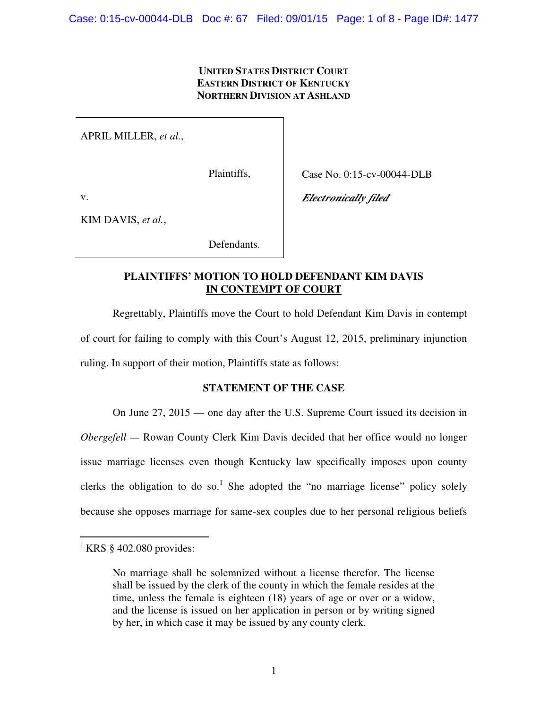### **UNITED STATES DISTRICT COURT EASTERN DISTRICT OF KENTUCKY NORTHERN DIVISION AT ASHLAND**

APRIL MILLER, *et al.*,

Plaintiffs,

Case No. 0:15-cv-00044-DLB

*Electronically filed* 

v.

KIM DAVIS, *et al.*,

Defendants.

# **PLAINTIFFS' MOTION TO HOLD DEFENDANT KIM DAVIS IN CONTEMPT OF COURT**

 Regrettably, Plaintiffs move the Court to hold Defendant Kim Davis in contempt of court for failing to comply with this Court's August 12, 2015, preliminary injunction ruling. In support of their motion, Plaintiffs state as follows:

## **STATEMENT OF THE CASE**

 On June 27, 2015 — one day after the U.S. Supreme Court issued its decision in *Obergefell* — Rowan County Clerk Kim Davis decided that her office would no longer issue marriage licenses even though Kentucky law specifically imposes upon county clerks the obligation to do so.<sup>1</sup> She adopted the "no marriage license" policy solely because she opposes marriage for same-sex couples due to her personal religious beliefs

 $\overline{a}$ 

 $\frac{1}{1}$  KRS § 402.080 provides:

No marriage shall be solemnized without a license therefor. The license shall be issued by the clerk of the county in which the female resides at the time, unless the female is eighteen (18) years of age or over or a widow, and the license is issued on her application in person or by writing signed by her, in which case it may be issued by any county clerk.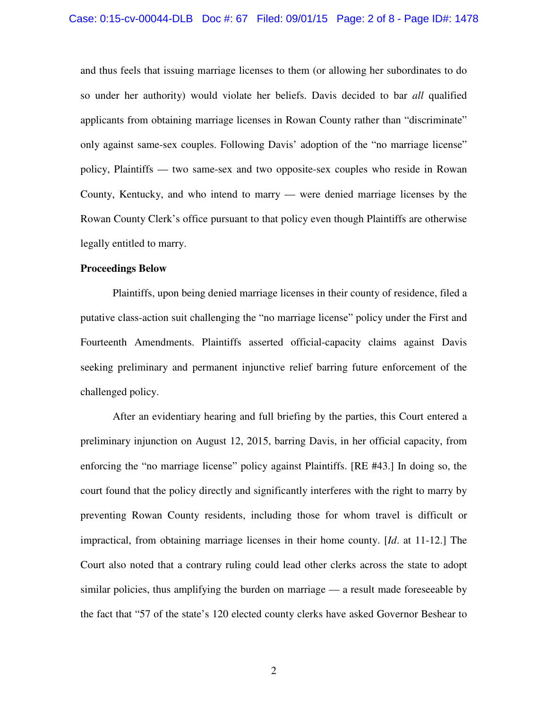and thus feels that issuing marriage licenses to them (or allowing her subordinates to do so under her authority) would violate her beliefs. Davis decided to bar *all* qualified applicants from obtaining marriage licenses in Rowan County rather than "discriminate" only against same-sex couples. Following Davis' adoption of the "no marriage license" policy, Plaintiffs — two same-sex and two opposite-sex couples who reside in Rowan County, Kentucky, and who intend to marry — were denied marriage licenses by the Rowan County Clerk's office pursuant to that policy even though Plaintiffs are otherwise legally entitled to marry.

#### **Proceedings Below**

 Plaintiffs, upon being denied marriage licenses in their county of residence, filed a putative class-action suit challenging the "no marriage license" policy under the First and Fourteenth Amendments. Plaintiffs asserted official-capacity claims against Davis seeking preliminary and permanent injunctive relief barring future enforcement of the challenged policy.

 After an evidentiary hearing and full briefing by the parties, this Court entered a preliminary injunction on August 12, 2015, barring Davis, in her official capacity, from enforcing the "no marriage license" policy against Plaintiffs. [RE #43.] In doing so, the court found that the policy directly and significantly interferes with the right to marry by preventing Rowan County residents, including those for whom travel is difficult or impractical, from obtaining marriage licenses in their home county. [*Id*. at 11-12.] The Court also noted that a contrary ruling could lead other clerks across the state to adopt similar policies, thus amplifying the burden on marriage — a result made foreseeable by the fact that "57 of the state's 120 elected county clerks have asked Governor Beshear to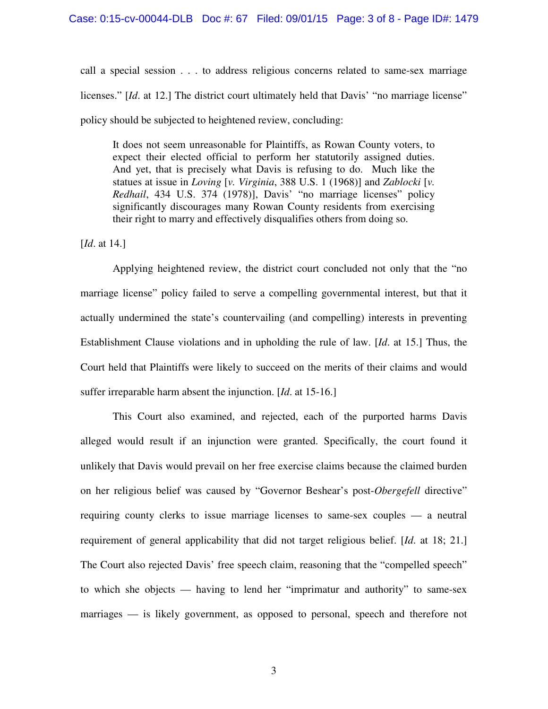call a special session . . . to address religious concerns related to same-sex marriage licenses." [*Id*. at 12.] The district court ultimately held that Davis' "no marriage license" policy should be subjected to heightened review, concluding:

It does not seem unreasonable for Plaintiffs, as Rowan County voters, to expect their elected official to perform her statutorily assigned duties. And yet, that is precisely what Davis is refusing to do. Much like the statues at issue in *Loving* [*v. Virginia*, 388 U.S. 1 (1968)] and *Zablocki* [*v. Redhail*, 434 U.S. 374 (1978)], Davis' "no marriage licenses" policy significantly discourages many Rowan County residents from exercising their right to marry and effectively disqualifies others from doing so.

[*Id.* at 14.]

 Applying heightened review, the district court concluded not only that the "no marriage license" policy failed to serve a compelling governmental interest, but that it actually undermined the state's countervailing (and compelling) interests in preventing Establishment Clause violations and in upholding the rule of law. [*Id*. at 15.] Thus, the Court held that Plaintiffs were likely to succeed on the merits of their claims and would suffer irreparable harm absent the injunction. [*Id*. at 15-16.]

 This Court also examined, and rejected, each of the purported harms Davis alleged would result if an injunction were granted. Specifically, the court found it unlikely that Davis would prevail on her free exercise claims because the claimed burden on her religious belief was caused by "Governor Beshear's post-*Obergefell* directive" requiring county clerks to issue marriage licenses to same-sex couples — a neutral requirement of general applicability that did not target religious belief. [*Id*. at 18; 21.] The Court also rejected Davis' free speech claim, reasoning that the "compelled speech" to which she objects — having to lend her "imprimatur and authority" to same-sex marriages — is likely government, as opposed to personal, speech and therefore not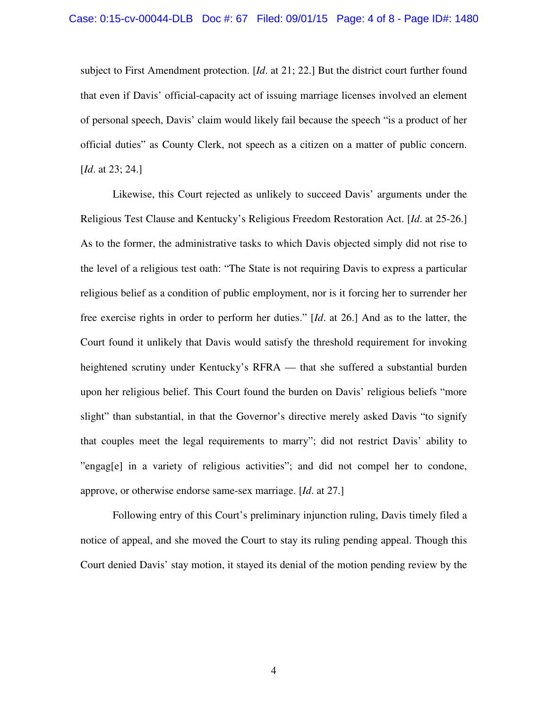subject to First Amendment protection. [*Id*. at 21; 22.] But the district court further found that even if Davis' official-capacity act of issuing marriage licenses involved an element of personal speech, Davis' claim would likely fail because the speech "is a product of her official duties" as County Clerk, not speech as a citizen on a matter of public concern. [*Id.* at 23; 24.]

 Likewise, this Court rejected as unlikely to succeed Davis' arguments under the Religious Test Clause and Kentucky's Religious Freedom Restoration Act. [*Id*. at 25-26.] As to the former, the administrative tasks to which Davis objected simply did not rise to the level of a religious test oath: "The State is not requiring Davis to express a particular religious belief as a condition of public employment, nor is it forcing her to surrender her free exercise rights in order to perform her duties." [*Id*. at 26.] And as to the latter, the Court found it unlikely that Davis would satisfy the threshold requirement for invoking heightened scrutiny under Kentucky's RFRA — that she suffered a substantial burden upon her religious belief. This Court found the burden on Davis' religious beliefs "more slight" than substantial, in that the Governor's directive merely asked Davis "to signify that couples meet the legal requirements to marry"; did not restrict Davis' ability to "engag[e] in a variety of religious activities"; and did not compel her to condone, approve, or otherwise endorse same-sex marriage. [*Id*. at 27.]

 Following entry of this Court's preliminary injunction ruling, Davis timely filed a notice of appeal, and she moved the Court to stay its ruling pending appeal. Though this Court denied Davis' stay motion, it stayed its denial of the motion pending review by the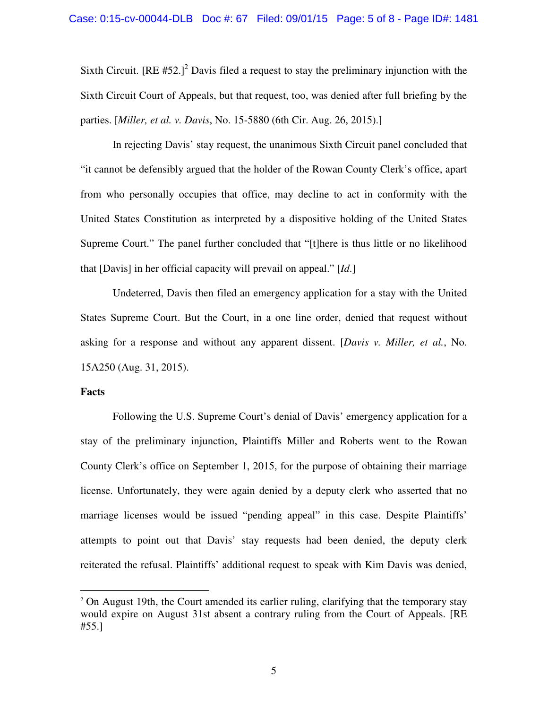Sixth Circuit.  $[RE #52.]$ <sup>2</sup> Davis filed a request to stay the preliminary injunction with the Sixth Circuit Court of Appeals, but that request, too, was denied after full briefing by the parties. [*Miller, et al. v. Davis*, No. 15-5880 (6th Cir. Aug. 26, 2015).]

 In rejecting Davis' stay request, the unanimous Sixth Circuit panel concluded that "it cannot be defensibly argued that the holder of the Rowan County Clerk's office, apart from who personally occupies that office, may decline to act in conformity with the United States Constitution as interpreted by a dispositive holding of the United States Supreme Court." The panel further concluded that "[t]here is thus little or no likelihood that [Davis] in her official capacity will prevail on appeal." [*Id*.]

 Undeterred, Davis then filed an emergency application for a stay with the United States Supreme Court. But the Court, in a one line order, denied that request without asking for a response and without any apparent dissent. [*Davis v. Miller, et al.*, No. 15A250 (Aug. 31, 2015).

#### **Facts**

 $\overline{a}$ 

 Following the U.S. Supreme Court's denial of Davis' emergency application for a stay of the preliminary injunction, Plaintiffs Miller and Roberts went to the Rowan County Clerk's office on September 1, 2015, for the purpose of obtaining their marriage license. Unfortunately, they were again denied by a deputy clerk who asserted that no marriage licenses would be issued "pending appeal" in this case. Despite Plaintiffs' attempts to point out that Davis' stay requests had been denied, the deputy clerk reiterated the refusal. Plaintiffs' additional request to speak with Kim Davis was denied,

<sup>&</sup>lt;sup>2</sup> On August 19th, the Court amended its earlier ruling, clarifying that the temporary stay would expire on August 31st absent a contrary ruling from the Court of Appeals. [RE #55.]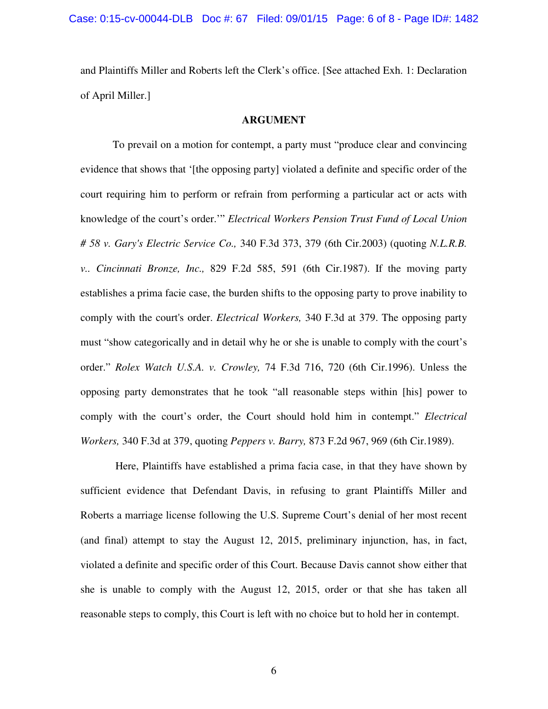and Plaintiffs Miller and Roberts left the Clerk's office. [See attached Exh. 1: Declaration of April Miller.]

#### **ARGUMENT**

 To prevail on a motion for contempt, a party must "produce clear and convincing evidence that shows that '[the opposing party] violated a definite and specific order of the court requiring him to perform or refrain from performing a particular act or acts with knowledge of the court's order.'" *Electrical Workers Pension Trust Fund of Local Union # 58 v. Gary's Electric Service Co.,* 340 F.3d 373, 379 (6th Cir.2003) (quoting *N.L.R.B. v.. Cincinnati Bronze, Inc.,* 829 F.2d 585, 591 (6th Cir.1987). If the moving party establishes a prima facie case, the burden shifts to the opposing party to prove inability to comply with the court's order. *Electrical Workers,* 340 F.3d at 379. The opposing party must "show categorically and in detail why he or she is unable to comply with the court's order." *Rolex Watch U.S.A. v. Crowley,* 74 F.3d 716, 720 (6th Cir.1996). Unless the opposing party demonstrates that he took "all reasonable steps within [his] power to comply with the court's order, the Court should hold him in contempt." *Electrical Workers,* 340 F.3d at 379, quoting *Peppers v. Barry,* 873 F.2d 967, 969 (6th Cir.1989).

 Here, Plaintiffs have established a prima facia case, in that they have shown by sufficient evidence that Defendant Davis, in refusing to grant Plaintiffs Miller and Roberts a marriage license following the U.S. Supreme Court's denial of her most recent (and final) attempt to stay the August 12, 2015, preliminary injunction, has, in fact, violated a definite and specific order of this Court. Because Davis cannot show either that she is unable to comply with the August 12, 2015, order or that she has taken all reasonable steps to comply, this Court is left with no choice but to hold her in contempt.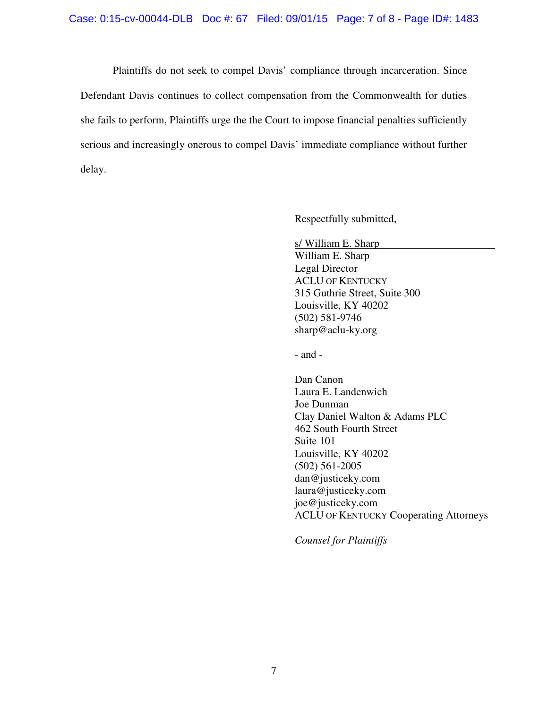Plaintiffs do not seek to compel Davis' compliance through incarceration. Since Defendant Davis continues to collect compensation from the Commonwealth for duties she fails to perform, Plaintiffs urge the the Court to impose financial penalties sufficiently serious and increasingly onerous to compel Davis' immediate compliance without further delay.

Respectfully submitted,

s/ William E. Sharp

William E. Sharp Legal Director ACLU OF KENTUCKY 315 Guthrie Street, Suite 300 Louisville, KY 40202 (502) 581-9746 sharp@aclu-ky.org

- and -

Dan Canon Laura E. Landenwich Joe Dunman Clay Daniel Walton & Adams PLC 462 South Fourth Street Suite 101 Louisville, KY 40202 (502) 561-2005 dan@justiceky.com laura@justiceky.com joe@justiceky.com ACLU OF KENTUCKY Cooperating Attorneys

*Counsel for Plaintiffs*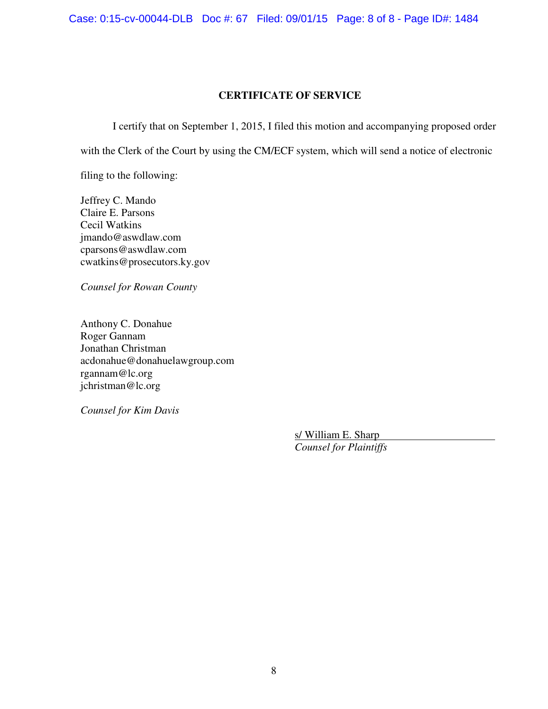Case: 0:15-cv-00044-DLB Doc #: 67 Filed: 09/01/15 Page: 8 of 8 - Page ID#: 1484

#### **CERTIFICATE OF SERVICE**

I certify that on September 1, 2015, I filed this motion and accompanying proposed order

with the Clerk of the Court by using the CM/ECF system, which will send a notice of electronic

filing to the following:

Jeffrey C. Mando Claire E. Parsons Cecil Watkins jmando@aswdlaw.com cparsons@aswdlaw.com cwatkins@prosecutors.ky.gov

*Counsel for Rowan County* 

Anthony C. Donahue Roger Gannam Jonathan Christman acdonahue@donahuelawgroup.com rgannam@lc.org jchristman@lc.org

*Counsel for Kim Davis* 

s/ William E. Sharp *Counsel for Plaintiffs*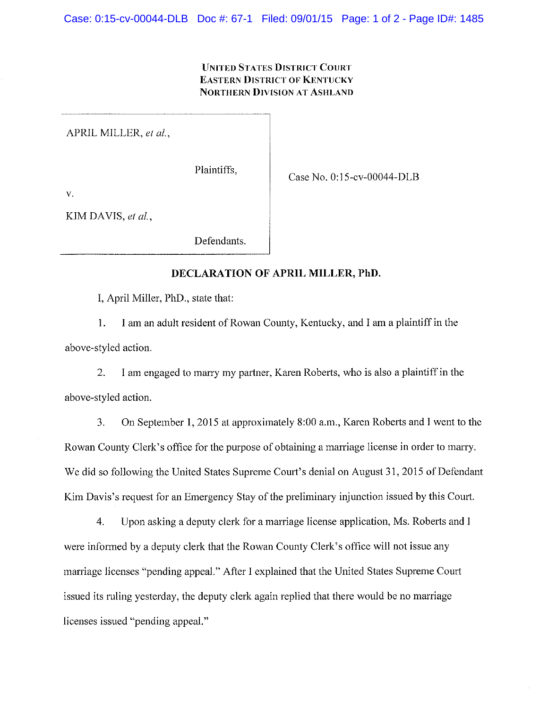#### **UNITED STATES DISTRICT COURT EASTERN DISTRICT OF KENTUCKY NORTHERN DIVISION AT ASHLAND**

APRIL MILLER, et al.,

Plaintiffs.

Case No. 0:15-cv-00044-DLB

 $\mathbf V$ 

KIM DAVIS, et al.,

Defendants.

### DECLARATION OF APRIL MILLER, PhD.

I, April Miller, PhD., state that:

 $1.$ I am an adult resident of Rowan County, Kentucky, and I am a plaintiff in the above-styled action.

 $\overline{2}$ . I am engaged to marry my partner, Karen Roberts, who is also a plaintiff in the above-styled action.

On September 1, 2015 at approximately 8:00 a.m., Karen Roberts and I went to the 3. Rowan County Clerk's office for the purpose of obtaining a marriage license in order to marry. We did so following the United States Supreme Court's denial on August 31, 2015 of Defendant Kim Davis's request for an Emergency Stay of the preliminary injunction issued by this Court.

Upon asking a deputy clerk for a marriage license application, Ms. Roberts and I  $\overline{4}$ . were informed by a deputy clerk that the Rowan County Clerk's office will not issue any marriage licenses "pending appeal." After I explained that the United States Supreme Court issued its ruling yesterday, the deputy clerk again replied that there would be no marriage licenses issued "pending appeal."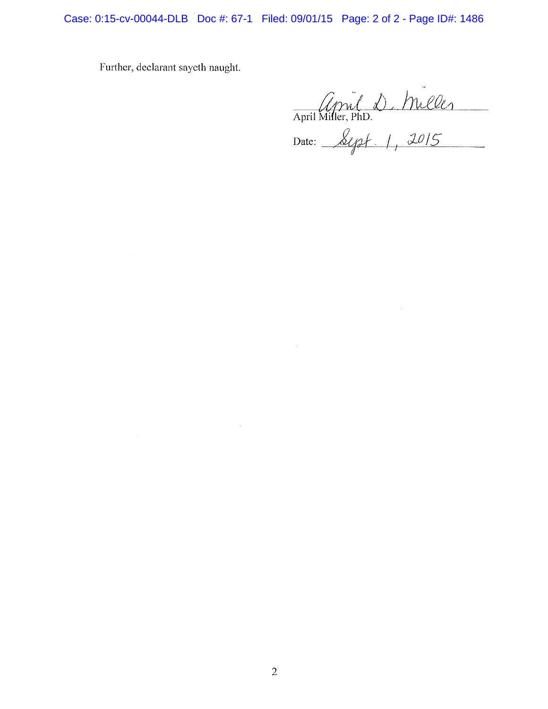Case: 0:15-cv-00044-DLB Doc #: 67-1 Filed: 09/01/15 Page: 2 of 2 - Page ID#: 1486

Further, declarant sayeth naught.

 $\sim$ 

April 10, Miller<br>April Miller, PhD.<br>Date: Sept. 1, 2015

 $\mathcal{L}^{\text{max}}_{\text{max}}$  and  $\mathcal{L}^{\text{max}}_{\text{max}}$